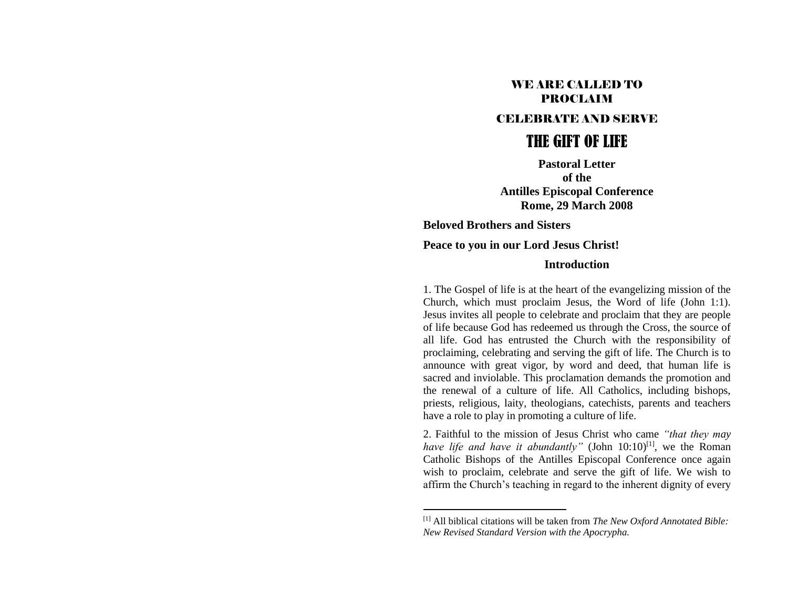## WE ARE CALLED TO PROCLAIM

## CELEBRATE AND SERVE

# THE GIFT OF LIFE

**Pastoral Letter of the Antilles Episcopal Conference Rome, 29 March 2008**

**Beloved Brothers and Sisters Peace to you in our Lord Jesus Christ!**

#### **Introduction**

1. The Gospel of life is at the heart of the evangelizing mission of the Church, which must proclaim Jesus, the Word of life (John 1:1). Jesus invites all people to celebrate and proclaim that they are people of life because God has redeemed us through the Cross, the source of all life. God has entrusted the Church with the responsibility of proclaiming, celebrating and serving the gift of life. The Church is to announce with great vigor, by word and deed, that human life is sacred and inviolable. This proclamation demands the promotion and the renewal of a culture of life. All Catholics, including bishops, priests, religious, laity, theologians, catechists, parents and teachers have a role to play in promoting a culture of life.

2. Faithful to the mission of Jesus Christ who came *"that they may have life and have it abundantly*" (John 10:10)<sup>[1]</sup>, we the Roman Catholic Bishops of the Antilles Episcopal Conference once again wish to proclaim, celebrate and serve the gift of life. We wish to affirm the Church's teaching in regard to the inherent dignity of every

<sup>[1]</sup> All biblical citations will be taken from *The New Oxford Annotated Bible: New Revised Standard Version with the Apocrypha.*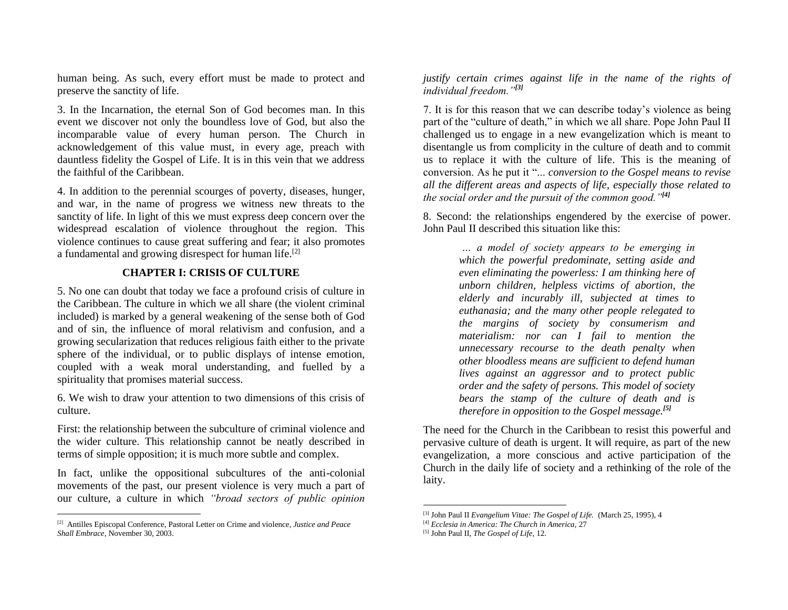human being. As such, every effort must be made to protect and preserve the sanctity of life.

3. In the Incarnation, the eternal Son of God becomes man. In this event we discover not only the boundless love of God, but also the incomparable value of every human person. The Church in acknowledgement of this value must, in every age, preach with dauntless fidelity the Gospel of Life. It is in this vein that we address the faithful of the Caribbean.

4. In addition to the perennial scourges of poverty, diseases, hunger, and war, in the name of progress we witness new threats to the sanctity of life. In light of this we must express deep concern over the widespread escalation of violence throughout the region. This violence continues to cause great suffering and fear; it also promotes a fundamental and growing disrespect for human life.[2]

## **CHAPTER I: CRISIS OF CULTURE**

5. No one can doubt that today we face a profound crisis of culture in the Caribbean. The culture in which we all share (the violent criminal included) is marked by a general weakening of the sense both of God and of sin, the influence of moral relativism and confusion, and a growing secularization that reduces religious faith either to the private sphere of the individual, or to public displays of intense emotion, coupled with a weak moral understanding, and fuelled by a spirituality that promises material success.

6. We wish to draw your attention to two dimensions of this crisis of culture.

First: the relationship between the subculture of criminal violence and the wider culture. This relationship cannot be neatly described in terms of simple opposition; it is much more subtle and complex.

In fact, unlike the oppositional subcultures of the anti-colonial movements of the past, our present violence is very much a part of our culture, a culture in which *"broad sectors of public opinion* 

*justify certain crimes against life in the name of the rights of individual freedom."[3]*

7. It is for this reason that we can describe today's violence as being part of the "culture of death," in which we all share. Pope John Paul II challenged us to engage in a new evangelization which is meant to disentangle us from complicity in the culture of death and to commit us to replace it with the culture of life. This is the meaning of conversion. As he put it "... *conversion to the Gospel means to revise all the different areas and aspects of life, especially those related to the social order and the pursuit of the common good."[4]*

8. Second: the relationships engendered by the exercise of power. John Paul II described this situation like this:

> *… a model of society appears to be emerging in which the powerful predominate, setting aside and even eliminating the powerless: I am thinking here of unborn children, helpless victims of abortion, the elderly and incurably ill, subjected at times to euthanasia; and the many other people relegated to the margins of society by consumerism and materialism: nor can I fail to mention the unnecessary recourse to the death penalty when other bloodless means are sufficient to defend human lives against an aggressor and to protect public order and the safety of persons. This model of society bears the stamp of the culture of death and is therefore in opposition to the Gospel message.[5]*

The need for the Church in the Caribbean to resist this powerful and pervasive culture of death is urgent. It will require, as part of the new evangelization, a more conscious and active participation of the Church in the daily life of society and a rethinking of the role of the laity.

<sup>[2]</sup> Antilles Episcopal Conference, Pastoral Letter on Crime and violence, *Justice and Peace Shall Embrace,* November 30, 2003.

<sup>[3]</sup> John Paul II *Evangelium Vitae: The Gospel of Life.* (March 25, 1995), 4

<sup>[4]</sup> *Ecclesia in America: The Church in America,* 27

<sup>[5]</sup> John Paul II, *The Gospel of Life,* 12.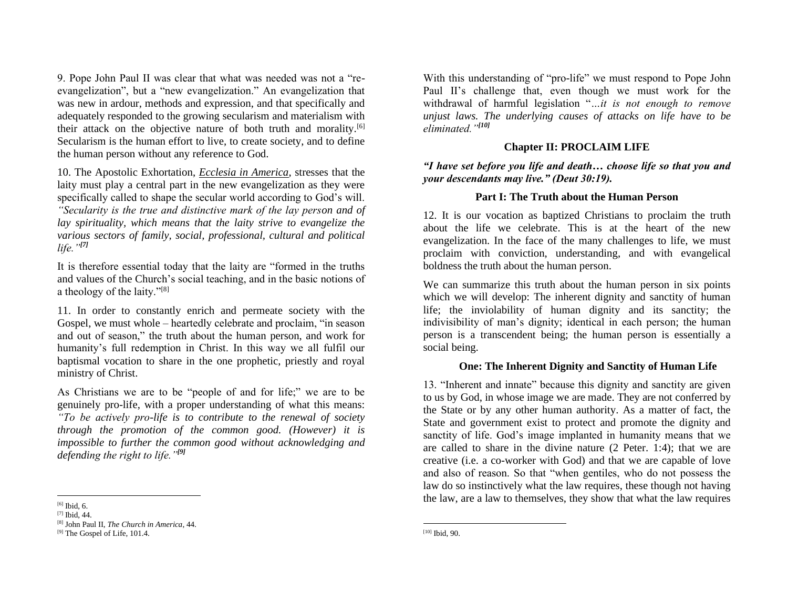9. Pope John Paul II was clear that what was needed was not a "reevangelization", but a "new evangelization." An evangelization that was new in ardour, methods and expression, and that specifically and adequately responded to the growing secularism and materialism with their attack on the objective nature of both truth and morality.[6] Secularism is the human effort to live, to create society, and to define the human person without any reference to God.

10. The Apostolic Exhortation, *Ecclesia in America*, stresses that the laity must play a central part in the new evangelization as they were specifically called to shape the secular world according to God's will. *"Secularity is the true and distinctive mark of the lay person and of lay spirituality, which means that the laity strive to evangelize the various sectors of family, social, professional, cultural and political life."[7]*

It is therefore essential today that the laity are "formed in the truths and values of the Church's social teaching, and in the basic notions of a theology of the laity."[8]

11. In order to constantly enrich and permeate society with the Gospel, we must whole – heartedly celebrate and proclaim, "in season and out of season," the truth about the human person, and work for humanity's full redemption in Christ. In this way we all fulfil our baptismal vocation to share in the one prophetic, priestly and royal ministry of Christ.

As Christians we are to be "people of and for life;" we are to be genuinely pro-life, with a proper understanding of what this means: *"To be actively pro-life is to contribute to the renewal of society through the promotion of the common good. (However) it is impossible to further the common good without acknowledging and defending the right to life."[9]*

With this understanding of "pro-life" we must respond to Pope John Paul II's challenge that, even though we must work for the withdrawal of harmful legislation "*…it is not enough to remove unjust laws. The underlying causes of attacks on life have to be eliminated."[10]*

#### **Chapter II: PROCLAIM LIFE**

*"I have set before you life and death… choose life so that you and your descendants may live." (Deut 30:19).*

#### **Part I: The Truth about the Human Person**

12. It is our vocation as baptized Christians to proclaim the truth about the life we celebrate. This is at the heart of the new evangelization. In the face of the many challenges to life, we must proclaim with conviction, understanding, and with evangelical boldness the truth about the human person.

We can summarize this truth about the human person in six points which we will develop: The inherent dignity and sanctity of human life; the inviolability of human dignity and its sanctity; the indivisibility of man's dignity; identical in each person; the human person is a transcendent being; the human person is essentially a social being.

## **One: The Inherent Dignity and Sanctity of Human Life**

13. "Inherent and innate" because this dignity and sanctity are given to us by God, in whose image we are made. They are not conferred by the State or by any other human authority. As a matter of fact, the State and government exist to protect and promote the dignity and sanctity of life. God's image implanted in humanity means that we are called to share in the divine nature (2 Peter. 1:4); that we are creative (i.e. a co-worker with God) and that we are capable of love and also of reason. So that "when gentiles, who do not possess the law do so instinctively what the law requires, these though not having the law, are a law to themselves, they show that what the law requires

<sup>[6]</sup> Ibid, 6.

 $[7]$  Ibid,  $44$ .

<sup>[8]</sup> John Paul II, *The Church in America*, 44.

<sup>&</sup>lt;sup>[9]</sup> The Gospel of Life, 101.4.

<sup>[10]</sup> Ibid, 90.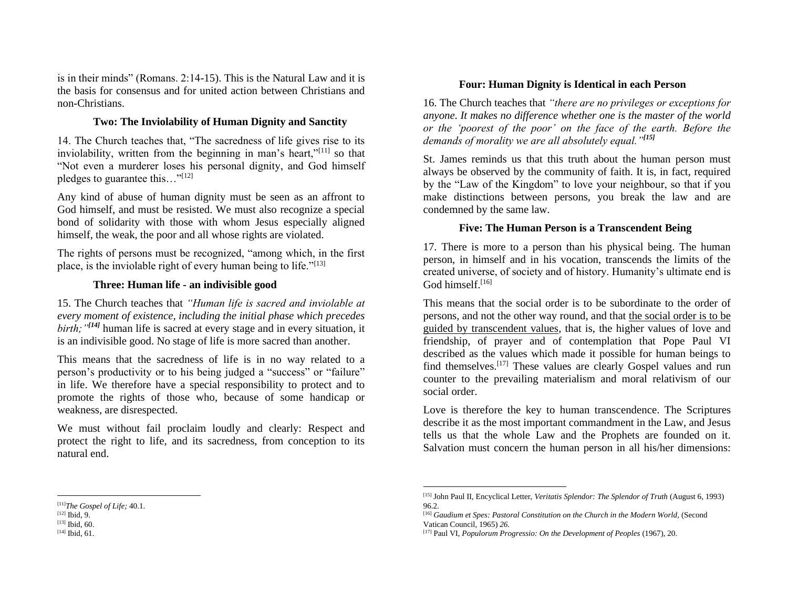is in their minds" (Romans. 2:14-15). This is the Natural Law and it is the basis for consensus and for united action between Christians and non-Christians.

## **Two: The Inviolability of Human Dignity and Sanctity**

14. The Church teaches that, "The sacredness of life gives rise to its inviolability, written from the beginning in man's heart,"[11] so that "Not even a murderer loses his personal dignity, and God himself pledges to guarantee this…"[12]

Any kind of abuse of human dignity must be seen as an affront to God himself, and must be resisted. We must also recognize a special bond of solidarity with those with whom Jesus especially aligned himself, the weak, the poor and all whose rights are violated.

The rights of persons must be recognized, "among which, in the first place, is the inviolable right of every human being to life." $[13]$ 

#### **Three: Human life - an indivisible good**

15. The Church teaches that *"Human life is sacred and inviolable at every moment of existence, including the initial phase which precedes birth;"[14]* human life is sacred at every stage and in every situation, it is an indivisible good. No stage of life is more sacred than another.

This means that the sacredness of life is in no way related to a person's productivity or to his being judged a "success" or "failure" in life. We therefore have a special responsibility to protect and to promote the rights of those who, because of some handicap or weakness, are disrespected.

We must without fail proclaim loudly and clearly: Respect and protect the right to life, and its sacredness, from conception to its natural end.

#### **Four: Human Dignity is Identical in each Person**

16. The Church teaches that *"there are no privileges or exceptions for anyone. It makes no difference whether one is the master of the world or the 'poorest of the poor' on the face of the earth. Before the demands of morality we are all absolutely equal."[15]*

St. James reminds us that this truth about the human person must always be observed by the community of faith. It is, in fact, required by the "Law of the Kingdom" to love your neighbour, so that if you make distinctions between persons, you break the law and are condemned by the same law.

## **Five: The Human Person is a Transcendent Being**

17. There is more to a person than his physical being. The human person, in himself and in his vocation, transcends the limits of the created universe, of society and of history. Humanity's ultimate end is God himself.<sup>[16]</sup>

This means that the social order is to be subordinate to the order of persons, and not the other way round, and that the social order is to be guided by transcendent values, that is, the higher values of love and friendship, of prayer and of contemplation that Pope Paul VI described as the values which made it possible for human beings to find themselves.[17] These values are clearly Gospel values and run counter to the prevailing materialism and moral relativism of our social order.

Love is therefore the key to human transcendence. The Scriptures describe it as the most important commandment in the Law, and Jesus tells us that the whole Law and the Prophets are founded on it. Salvation must concern the human person in all his/her dimensions:

<sup>[11]</sup>*The Gospel of Life;* 40.1.

 $[12]$  Ibid, 9.

<sup>[13]</sup> **Ibid**, 60.

<sup>[14]</sup> Ibid, 61.

<sup>[15]</sup> John Paul II, Encyclical Letter, *Veritatis Splendor: The Splendor of Truth* (August 6, 1993) 96.2.

<sup>[16]</sup> *Gaudium et Spes: Pastoral Constitution on the Church in the Modern World, (Second* Vatican Council, 1965) *26.*

<sup>[17]</sup> Paul VI, *Populorum Progressio: On the Development of Peoples* (1967)*,* 20.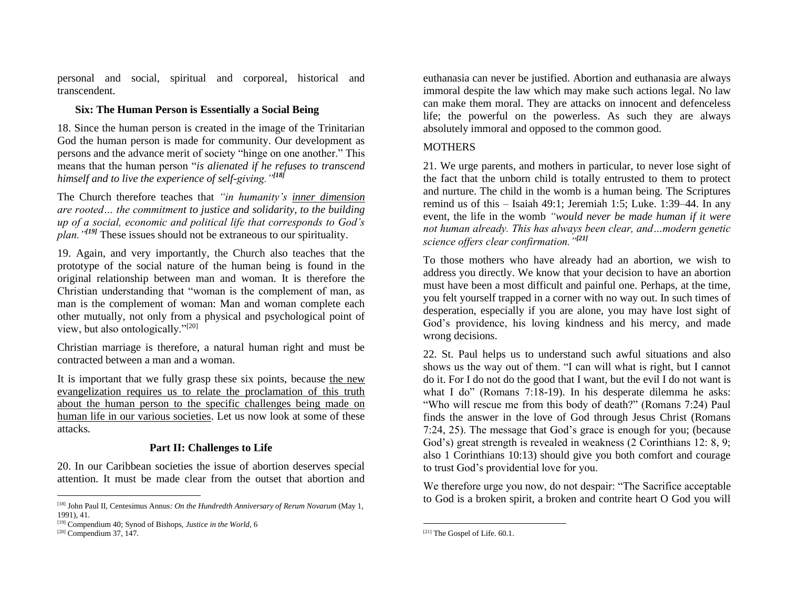personal and social, spiritual and corporeal, historical and transcendent.

## **Six: The Human Person is Essentially a Social Being**

18. Since the human person is created in the image of the Trinitarian God the human person is made for community. Our development as persons and the advance merit of society "hinge on one another." This means that the human person "*is alienated if he refuses to transcend himself and to live the experience of self-giving."[18]*

The Church therefore teaches that *"in humanity's inner dimension are rooted… the commitment to justice and solidarity, to the building up of a social, economic and political life that corresponds to God's plan."[19]* These issues should not be extraneous to our spirituality.

19. Again, and very importantly, the Church also teaches that the prototype of the social nature of the human being is found in the original relationship between man and woman. It is therefore the Christian understanding that "woman is the complement of man, as man is the complement of woman: Man and woman complete each other mutually, not only from a physical and psychological point of view, but also ontologically."[20]

Christian marriage is therefore, a natural human right and must be contracted between a man and a woman.

It is important that we fully grasp these six points, because the new evangelization requires us to relate the proclamation of this truth about the human person to the specific challenges being made on human life in our various societies. Let us now look at some of these attacks.

## **Part II: Challenges to Life**

20. In our Caribbean societies the issue of abortion deserves special attention. It must be made clear from the outset that abortion and

euthanasia can never be justified. Abortion and euthanasia are always immoral despite the law which may make such actions legal. No law can make them moral. They are attacks on innocent and defenceless life; the powerful on the powerless. As such they are always absolutely immoral and opposed to the common good.

## **MOTHERS**

21. We urge parents, and mothers in particular, to never lose sight of the fact that the unborn child is totally entrusted to them to protect and nurture. The child in the womb is a human being. The Scriptures remind us of this – Isaiah 49:1; Jeremiah 1:5; Luke. 1:39–44. In any event, the life in the womb *"would never be made human if it were not human already. This has always been clear, and…modern genetic science offers clear confirmation."[21]*

To those mothers who have already had an abortion, we wish to address you directly. We know that your decision to have an abortion must have been a most difficult and painful one. Perhaps, at the time, you felt yourself trapped in a corner with no way out. In such times of desperation, especially if you are alone, you may have lost sight of God's providence, his loving kindness and his mercy, and made wrong decisions.

22. St. Paul helps us to understand such awful situations and also shows us the way out of them. "I can will what is right, but I cannot do it. For I do not do the good that I want, but the evil I do not want is what I do" (Romans 7:18-19). In his desperate dilemma he asks: "Who will rescue me from this body of death?" (Romans 7:24) Paul finds the answer in the love of God through Jesus Christ (Romans 7:24, 25). The message that God's grace is enough for you; (because God's) great strength is revealed in weakness (2 Corinthians 12: 8, 9; also 1 Corinthians 10:13) should give you both comfort and courage to trust God's providential love for you.

We therefore urge you now, do not despair: "The Sacrifice acceptable to God is a broken spirit, a broken and contrite heart O God you will

<sup>[18]</sup> John Paul II, Centesimus Annus*: On the Hundredth Anniversary of Rerum Novarum* (May 1, 1991), 41.

<sup>[19]</sup> Compendium 40; Synod of Bishops, *Justice in the World,* 6

 $[20]$  Compendium 37, 147.

<sup>[21]</sup> The Gospel of Life*.* 60.1.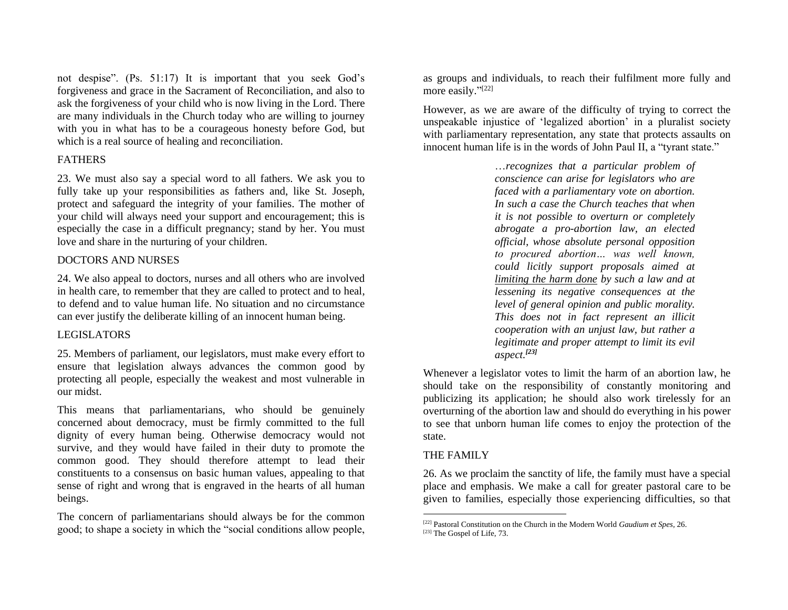not despise". (Ps. 51:17) It is important that you seek God's forgiveness and grace in the Sacrament of Reconciliation, and also to ask the forgiveness of your child who is now living in the Lord. There are many individuals in the Church today who are willing to journey with you in what has to be a courageous honesty before God, but which is a real source of healing and reconciliation.

#### FATHERS

23. We must also say a special word to all fathers. We ask you to fully take up your responsibilities as fathers and, like St. Joseph, protect and safeguard the integrity of your families. The mother of your child will always need your support and encouragement; this is especially the case in a difficult pregnancy; stand by her. You must love and share in the nurturing of your children.

#### DOCTORS AND NURSES

24. We also appeal to doctors, nurses and all others who are involved in health care, to remember that they are called to protect and to heal, to defend and to value human life. No situation and no circumstance can ever justify the deliberate killing of an innocent human being.

#### LEGISLATORS

25. Members of parliament, our legislators, must make every effort to ensure that legislation always advances the common good by protecting all people, especially the weakest and most vulnerable in our midst.

This means that parliamentarians, who should be genuinely concerned about democracy, must be firmly committed to the full dignity of every human being. Otherwise democracy would not survive, and they would have failed in their duty to promote the common good. They should therefore attempt to lead their constituents to a consensus on basic human values, appealing to that sense of right and wrong that is engraved in the hearts of all human beings.

The concern of parliamentarians should always be for the common good; to shape a society in which the "social conditions allow people, as groups and individuals, to reach their fulfilment more fully and more easily."<sup>[22]</sup>

However, as we are aware of the difficulty of trying to correct the unspeakable injustice of 'legalized abortion' in a pluralist society with parliamentary representation, any state that protects assaults on innocent human life is in the words of John Paul II, a "tyrant state."

> …*recognizes that a particular problem of conscience can arise for legislators who are faced with a parliamentary vote on abortion. In such a case the Church teaches that when it is not possible to overturn or completely abrogate a pro-abortion law, an elected official, whose absolute personal opposition to procured abortion… was well known, could licitly support proposals aimed at limiting the harm done by such a law and at lessening its negative consequences at the level of general opinion and public morality. This does not in fact represent an illicit cooperation with an unjust law, but rather a legitimate and proper attempt to limit its evil aspect.[23]*

Whenever a legislator votes to limit the harm of an abortion law, he should take on the responsibility of constantly monitoring and publicizing its application; he should also work tirelessly for an overturning of the abortion law and should do everything in his power to see that unborn human life comes to enjoy the protection of the state.

## THE FAMILY

26. As we proclaim the sanctity of life, the family must have a special place and emphasis. We make a call for greater pastoral care to be given to families, especially those experiencing difficulties, so that

<sup>[22]</sup> Pastoral Constitution on the Church in the Modern World *Gaudium et Spes,* 26.

 $[23]$  The Gospel of Life, 73.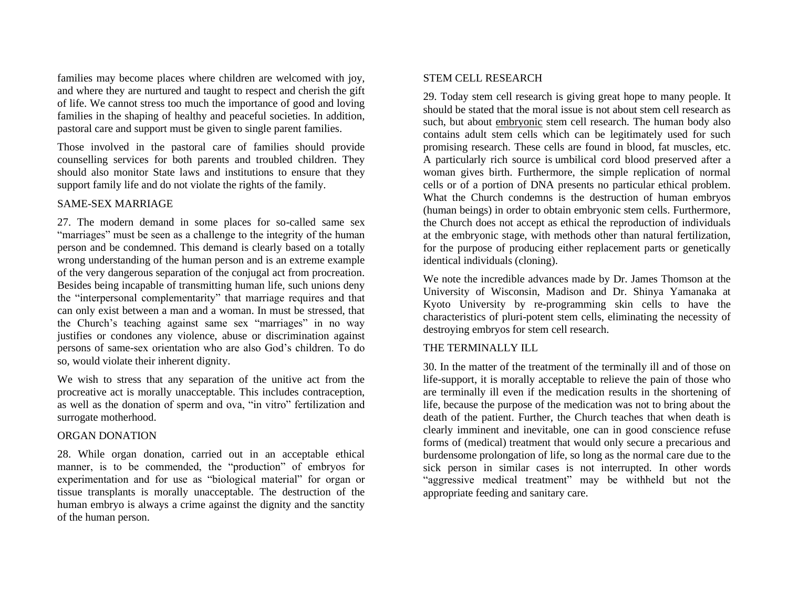families may become places where children are welcomed with joy, and where they are nurtured and taught to respect and cherish the gift of life. We cannot stress too much the importance of good and loving families in the shaping of healthy and peaceful societies. In addition, pastoral care and support must be given to single parent families.

Those involved in the pastoral care of families should provide counselling services for both parents and troubled children. They should also monitor State laws and institutions to ensure that they support family life and do not violate the rights of the family.

#### SAME-SEX MARRIAGE

27. The modern demand in some places for so-called same sex "marriages" must be seen as a challenge to the integrity of the human person and be condemned. This demand is clearly based on a totally wrong understanding of the human person and is an extreme example of the very dangerous separation of the conjugal act from procreation. Besides being incapable of transmitting human life, such unions deny the "interpersonal complementarity" that marriage requires and that can only exist between a man and a woman. In must be stressed, that the Church's teaching against same sex "marriages" in no way justifies or condones any violence, abuse or discrimination against persons of same-sex orientation who are also God's children. To do so, would violate their inherent dignity.

We wish to stress that any separation of the unitive act from the procreative act is morally unacceptable. This includes contraception, as well as the donation of sperm and ova, "in vitro" fertilization and surrogate motherhood.

#### ORGAN DONATION

28. While organ donation, carried out in an acceptable ethical manner, is to be commended, the "production" of embryos for experimentation and for use as "biological material" for organ or tissue transplants is morally unacceptable. The destruction of the human embryo is always a crime against the dignity and the sanctity of the human person.

#### STEM CELL RESEARCH

29. Today stem cell research is giving great hope to many people. It should be stated that the moral issue is not about stem cell research as such, but about embryonic stem cell research. The human body also contains adult stem cells which can be legitimately used for such promising research. These cells are found in blood, fat muscles, etc. A particularly rich source is umbilical cord blood preserved after a woman gives birth. Furthermore, the simple replication of normal cells or of a portion of DNA presents no particular ethical problem. What the Church condemns is the destruction of human embryos (human beings) in order to obtain embryonic stem cells. Furthermore, the Church does not accept as ethical the reproduction of individuals at the embryonic stage, with methods other than natural fertilization, for the purpose of producing either replacement parts or genetically identical individuals (cloning).

We note the incredible advances made by Dr. James Thomson at the University of Wisconsin, Madison and Dr. Shinya Yamanaka at Kyoto University by re-programming skin cells to have the characteristics of pluri-potent stem cells, eliminating the necessity of destroying embryos for stem cell research.

#### THE TERMINALLY ILL

30. In the matter of the treatment of the terminally ill and of those on life-support, it is morally acceptable to relieve the pain of those who are terminally ill even if the medication results in the shortening of life, because the purpose of the medication was not to bring about the death of the patient. Further, the Church teaches that when death is clearly imminent and inevitable, one can in good conscience refuse forms of (medical) treatment that would only secure a precarious and burdensome prolongation of life, so long as the normal care due to the sick person in similar cases is not interrupted. In other words "aggressive medical treatment" may be withheld but not the appropriate feeding and sanitary care.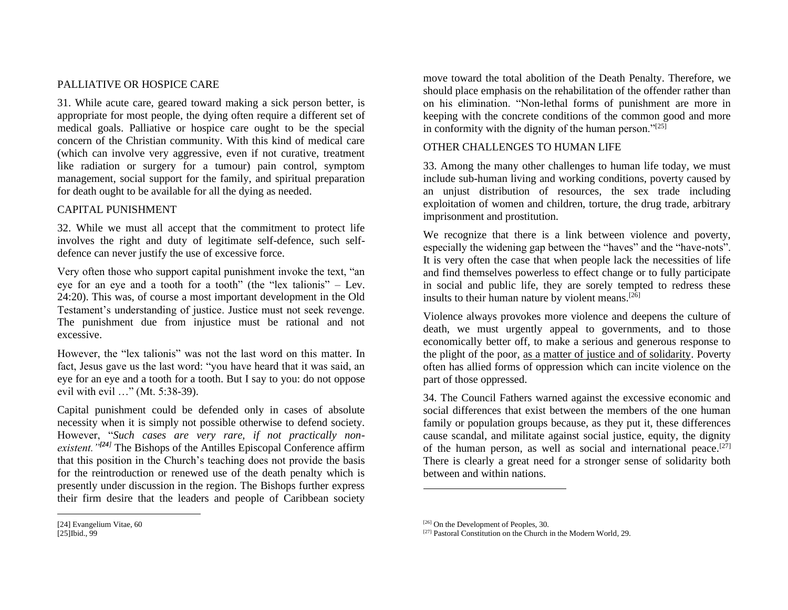#### PALLIATIVE OR HOSPICE CARE

31. While acute care, geared toward making a sick person better, is appropriate for most people, the dying often require a different set of medical goals. Palliative or hospice care ought to be the special concern of the Christian community. With this kind of medical care (which can involve very aggressive, even if not curative, treatment like radiation or surgery for a tumour) pain control, symptom management, social support for the family, and spiritual preparation for death ought to be available for all the dying as needed.

#### CAPITAL PUNISHMENT

32. While we must all accept that the commitment to protect life involves the right and duty of legitimate self-defence, such selfdefence can never justify the use of excessive force.

Very often those who support capital punishment invoke the text, "an eye for an eye and a tooth for a tooth" (the "lex talionis" – Lev. 24:20). This was, of course a most important development in the Old Testament's understanding of justice. Justice must not seek revenge. The punishment due from injustice must be rational and not excessive.

However, the "lex talionis" was not the last word on this matter. In fact, Jesus gave us the last word: "you have heard that it was said, an eye for an eye and a tooth for a tooth. But I say to you: do not oppose evil with evil …" (Mt. 5:38-39).

Capital punishment could be defended only in cases of absolute necessity when it is simply not possible otherwise to defend society. However, "*Such cases are very rare, if not practically nonexistent."[24]* The Bishops of the Antilles Episcopal Conference affirm that this position in the Church's teaching does not provide the basis for the reintroduction or renewed use of the death penalty which is presently under discussion in the region. The Bishops further express their firm desire that the leaders and people of Caribbean society

move toward the total abolition of the Death Penalty. Therefore, we should place emphasis on the rehabilitation of the offender rather than on his elimination. "Non-lethal forms of punishment are more in keeping with the concrete conditions of the common good and more in conformity with the dignity of the human person."[25]

#### OTHER CHALLENGES TO HUMAN LIFE

33. Among the many other challenges to human life today, we must include sub-human living and working conditions, poverty caused by an unjust distribution of resources, the sex trade including exploitation of women and children, torture, the drug trade, arbitrary imprisonment and prostitution.

We recognize that there is a link between violence and poverty, especially the widening gap between the "haves" and the "have-nots". It is very often the case that when people lack the necessities of life and find themselves powerless to effect change or to fully participate in social and public life, they are sorely tempted to redress these insults to their human nature by violent means.<sup>[26]</sup>

Violence always provokes more violence and deepens the culture of death, we must urgently appeal to governments, and to those economically better off, to make a serious and generous response to the plight of the poor, as a matter of justice and of solidarity. Poverty often has allied forms of oppression which can incite violence on the part of those oppressed.

34. The Council Fathers warned against the excessive economic and social differences that exist between the members of the one human family or population groups because, as they put it, these differences cause scandal, and militate against social justice, equity, the dignity of the human person, as well as social and international peace.<sup>[27]</sup> There is clearly a great need for a stronger sense of solidarity both between and within nations.

<sup>[24]</sup> Evangelium Vitae, 60 [25]Ibid., 99

<sup>[26]</sup> On the Development of Peoples, 30.

<sup>[27]</sup> Pastoral Constitution on the Church in the Modern World*,* 29.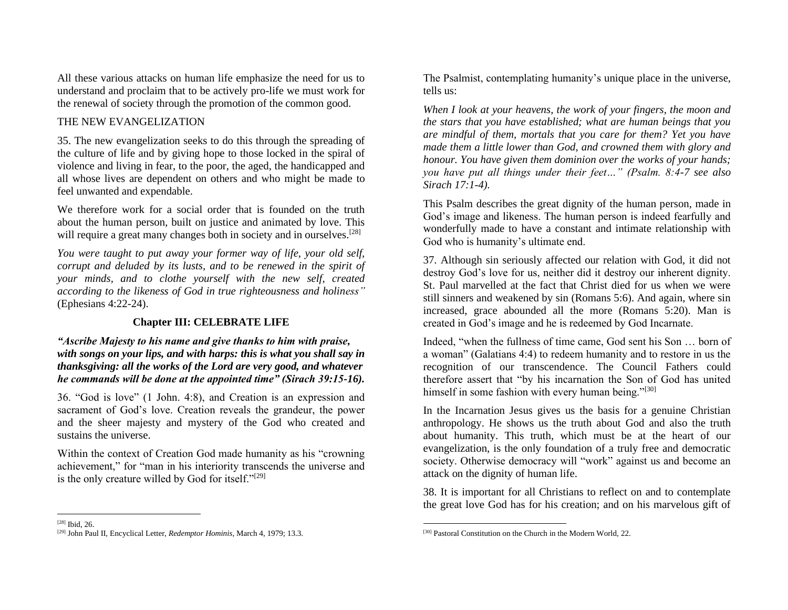All these various attacks on human life emphasize the need for us to understand and proclaim that to be actively pro-life we must work for the renewal of society through the promotion of the common good.

## THE NEW EVANGELIZATION

35. The new evangelization seeks to do this through the spreading of the culture of life and by giving hope to those locked in the spiral of violence and living in fear, to the poor, the aged, the handicapped and all whose lives are dependent on others and who might be made to feel unwanted and expendable.

We therefore work for a social order that is founded on the truth about the human person, built on justice and animated by love. This will require a great many changes both in society and in ourselves.<sup>[28]</sup>

*You were taught to put away your former way of life, your old self, corrupt and deluded by its lusts, and to be renewed in the spirit of your minds, and to clothe yourself with the new self, created according to the likeness of God in true righteousness and holiness"*  (Ephesians 4:22-24).

## **Chapter III: CELEBRATE LIFE**

## *"Ascribe Majesty to his name and give thanks to him with praise, with songs on your lips, and with harps: this is what you shall say in thanksgiving: all the works of the Lord are very good, and whatever he commands will be done at the appointed time" (Sirach 39:15-16).*

36. "God is love" (1 John. 4:8), and Creation is an expression and sacrament of God's love. Creation reveals the grandeur, the power and the sheer majesty and mystery of the God who created and sustains the universe.

Within the context of Creation God made humanity as his "crowning achievement," for "man in his interiority transcends the universe and is the only creature willed by God for itself."<sup>[29]</sup>

The Psalmist, contemplating humanity's unique place in the universe, tells us:

*When I look at your heavens, the work of your fingers, the moon and the stars that you have established; what are human beings that you are mindful of them, mortals that you care for them? Yet you have made them a little lower than God, and crowned them with glory and honour. You have given them dominion over the works of your hands; you have put all things under their feet…" (Psalm. 8:4-7 see also Sirach 17:1-4).*

This Psalm describes the great dignity of the human person, made in God's image and likeness. The human person is indeed fearfully and wonderfully made to have a constant and intimate relationship with God who is humanity's ultimate end.

37. Although sin seriously affected our relation with God, it did not destroy God's love for us, neither did it destroy our inherent dignity. St. Paul marvelled at the fact that Christ died for us when we were still sinners and weakened by sin (Romans 5:6). And again, where sin increased, grace abounded all the more (Romans 5:20). Man is created in God's image and he is redeemed by God Incarnate.

Indeed, "when the fullness of time came, God sent his Son … born of a woman" (Galatians 4:4) to redeem humanity and to restore in us the recognition of our transcendence. The Council Fathers could therefore assert that "by his incarnation the Son of God has united himself in some fashion with every human being."<sup>[30]</sup>

In the Incarnation Jesus gives us the basis for a genuine Christian anthropology. He shows us the truth about God and also the truth about humanity. This truth, which must be at the heart of our evangelization, is the only foundation of a truly free and democratic society. Otherwise democracy will "work" against us and become an attack on the dignity of human life.

38. It is important for all Christians to reflect on and to contemplate the great love God has for his creation; and on his marvelous gift of

<sup>[28]</sup> Ibid, 26.

<sup>[29]</sup> John Paul II, Encyclical Letter, *Redemptor Hominis,* March 4, 1979; 13.3.

<sup>[30]</sup> Pastoral Constitution on the Church in the Modern World, 22.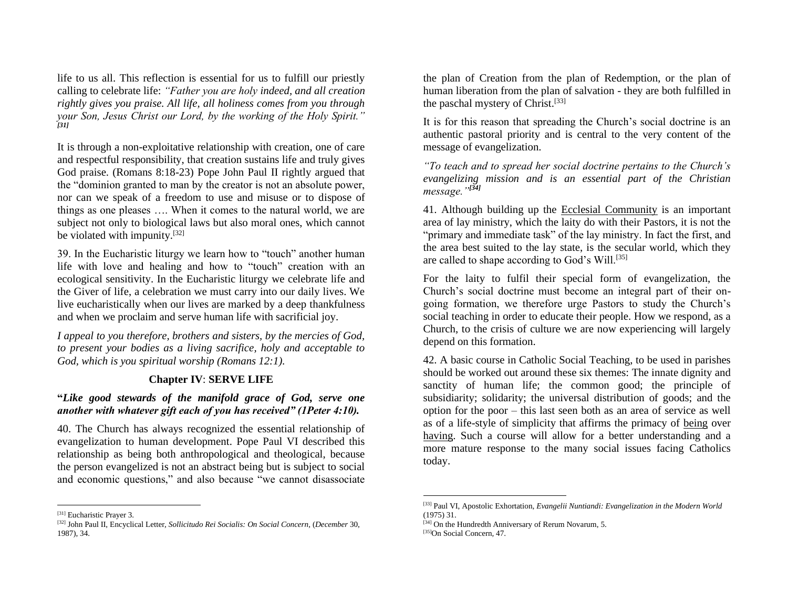life to us all. This reflection is essential for us to fulfill our priestly calling to celebrate life: *"Father you are holy indeed, and all creation rightly gives you praise. All life, all holiness comes from you through your Son, Jesus Christ our Lord, by the working of the Holy Spirit." [31]*

It is through a non-exploitative relationship with creation, one of care and respectful responsibility, that creation sustains life and truly gives God praise. (Romans 8:18-23) Pope John Paul II rightly argued that the "dominion granted to man by the creator is not an absolute power, nor can we speak of a freedom to use and misuse or to dispose of things as one pleases …. When it comes to the natural world, we are subject not only to biological laws but also moral ones, which cannot be violated with impunity.[32]

39. In the Eucharistic liturgy we learn how to "touch" another human life with love and healing and how to "touch" creation with an ecological sensitivity. In the Eucharistic liturgy we celebrate life and the Giver of life, a celebration we must carry into our daily lives. We live eucharistically when our lives are marked by a deep thankfulness and when we proclaim and serve human life with sacrificial joy.

*I appeal to you therefore, brothers and sisters, by the mercies of God, to present your bodies as a living sacrifice, holy and acceptable to God, which is you spiritual worship (Romans 12:1).*

## **Chapter IV**: **SERVE LIFE**

#### **"***Like good stewards of the manifold grace of God, serve one another with whatever gift each of you has received" (1Peter 4:10).*

40. The Church has always recognized the essential relationship of evangelization to human development. Pope Paul VI described this relationship as being both anthropological and theological, because the person evangelized is not an abstract being but is subject to social and economic questions," and also because "we cannot disassociate

the plan of Creation from the plan of Redemption, or the plan of human liberation from the plan of salvation - they are both fulfilled in the paschal mystery of Christ.<sup>[33]</sup>

It is for this reason that spreading the Church's social doctrine is an authentic pastoral priority and is central to the very content of the message of evangelization.

*"To teach and to spread her social doctrine pertains to the Church's evangelizing mission and is an essential part of the Christian message."[34]*

41. Although building up the Ecclesial Community is an important area of lay ministry, which the laity do with their Pastors, it is not the "primary and immediate task" of the lay ministry. In fact the first, and the area best suited to the lay state, is the secular world, which they are called to shape according to God's Will.[35]

For the laity to fulfil their special form of evangelization, the Church's social doctrine must become an integral part of their ongoing formation, we therefore urge Pastors to study the Church's social teaching in order to educate their people. How we respond, as a Church, to the crisis of culture we are now experiencing will largely depend on this formation.

42. A basic course in Catholic Social Teaching, to be used in parishes should be worked out around these six themes: The innate dignity and sanctity of human life; the common good; the principle of subsidiarity; solidarity; the universal distribution of goods; and the option for the poor – this last seen both as an area of service as well as of a life-style of simplicity that affirms the primacy of being over having. Such a course will allow for a better understanding and a more mature response to the many social issues facing Catholics today.

<sup>[31]</sup> Eucharistic Prayer 3.

<sup>[32]</sup> John Paul II, Encyclical Letter, *Sollicitudo Rei Socialis: On Social Concern,* (*December* 30, 1987), 34.

<sup>[33]</sup> Paul VI, Apostolic Exhortation, *Evangelii Nuntiandi: Evangelization in the Modern World*  (1975) 31.

<sup>[34]</sup> On the Hundredth Anniversary of Rerum Novarum, 5.

<sup>[35]</sup>On Social Concern*,* 47.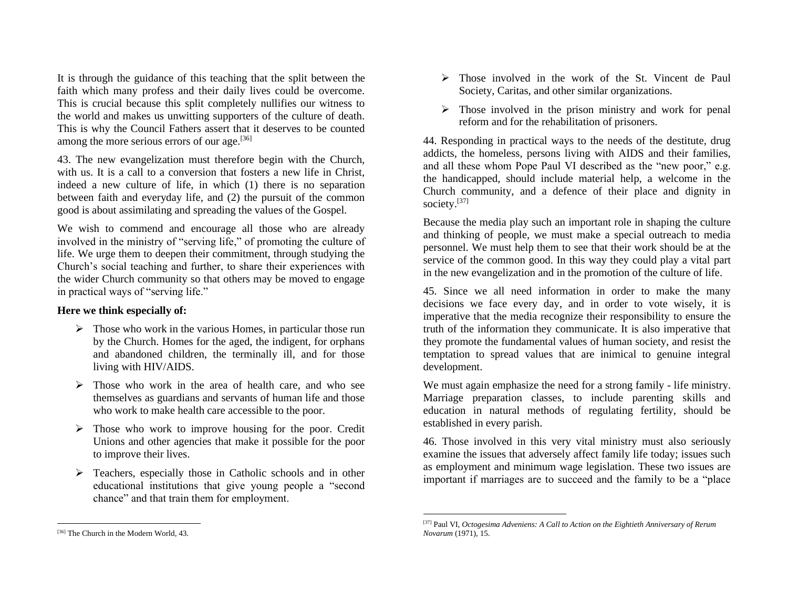It is through the guidance of this teaching that the split between the faith which many profess and their daily lives could be overcome. This is crucial because this split completely nullifies our witness to the world and makes us unwitting supporters of the culture of death. This is why the Council Fathers assert that it deserves to be counted among the more serious errors of our age.<sup>[36]</sup>

43. The new evangelization must therefore begin with the Church, with us. It is a call to a conversion that fosters a new life in Christ, indeed a new culture of life, in which (1) there is no separation between faith and everyday life, and (2) the pursuit of the common good is about assimilating and spreading the values of the Gospel.

We wish to commend and encourage all those who are already involved in the ministry of "serving life," of promoting the culture of life. We urge them to deepen their commitment, through studying the Church's social teaching and further, to share their experiences with the wider Church community so that others may be moved to engage in practical ways of "serving life."

#### **Here we think especially of:**

- $\triangleright$  Those who work in the various Homes, in particular those run by the Church. Homes for the aged, the indigent, for orphans and abandoned children, the terminally ill, and for those living with HIV/AIDS.
- ➢ Those who work in the area of health care, and who see themselves as guardians and servants of human life and those who work to make health care accessible to the poor.
- ➢ Those who work to improve housing for the poor. Credit Unions and other agencies that make it possible for the poor to improve their lives.
- ➢ Teachers, especially those in Catholic schools and in other educational institutions that give young people a "second chance" and that train them for employment.
- ➢ Those involved in the work of the St. Vincent de Paul Society, Caritas, and other similar organizations.
- ➢ Those involved in the prison ministry and work for penal reform and for the rehabilitation of prisoners.

44. Responding in practical ways to the needs of the destitute, drug addicts, the homeless, persons living with AIDS and their families, and all these whom Pope Paul VI described as the "new poor," e.g. the handicapped, should include material help, a welcome in the Church community, and a defence of their place and dignity in society.<sup>[37]</sup>

Because the media play such an important role in shaping the culture and thinking of people, we must make a special outreach to media personnel. We must help them to see that their work should be at the service of the common good. In this way they could play a vital part in the new evangelization and in the promotion of the culture of life.

45. Since we all need information in order to make the many decisions we face every day, and in order to vote wisely, it is imperative that the media recognize their responsibility to ensure the truth of the information they communicate. It is also imperative that they promote the fundamental values of human society, and resist the temptation to spread values that are inimical to genuine integral development.

We must again emphasize the need for a strong family - life ministry. Marriage preparation classes, to include parenting skills and education in natural methods of regulating fertility, should be established in every parish.

46. Those involved in this very vital ministry must also seriously examine the issues that adversely affect family life today; issues such as employment and minimum wage legislation. These two issues are important if marriages are to succeed and the family to be a "place

<sup>[37]</sup> Paul VI, *Octogesima Adveniens: A Call to Action on the Eightieth Anniversary of Rerum Novarum* (1971), 15.

<sup>[36]</sup> The Church in the Modern World*,* 43.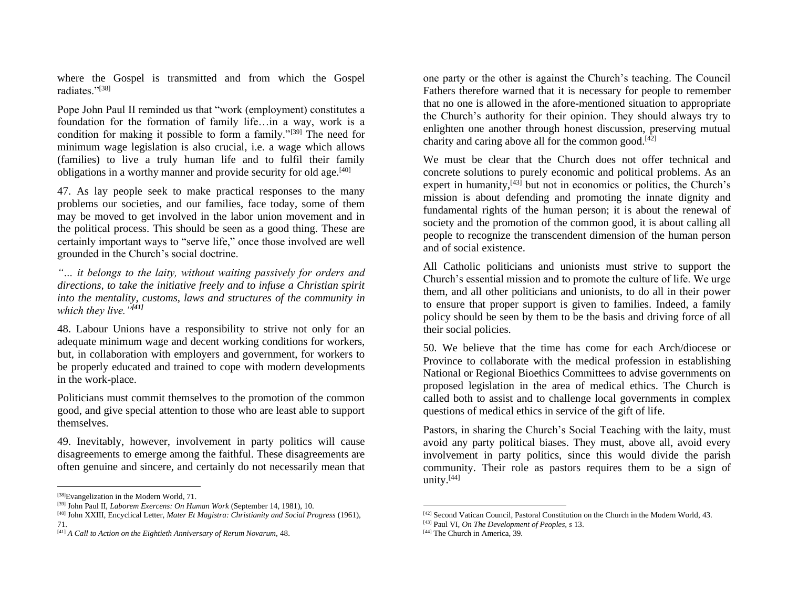where the Gospel is transmitted and from which the Gospel radiates."[38]

Pope John Paul II reminded us that "work (employment) constitutes a foundation for the formation of family life…in a way, work is a condition for making it possible to form a family."<sup>[39]</sup> The need for minimum wage legislation is also crucial, i.e. a wage which allows (families) to live a truly human life and to fulfil their family obligations in a worthy manner and provide security for old age.<sup>[40]</sup>

47. As lay people seek to make practical responses to the many problems our societies, and our families, face today, some of them may be moved to get involved in the labor union movement and in the political process. This should be seen as a good thing. These are certainly important ways to "serve life," once those involved are well grounded in the Church's social doctrine.

*"… it belongs to the laity, without waiting passively for orders and directions, to take the initiative freely and to infuse a Christian spirit into the mentality, customs, laws and structures of the community in which they live."[41]*

48. Labour Unions have a responsibility to strive not only for an adequate minimum wage and decent working conditions for workers, but, in collaboration with employers and government, for workers to be properly educated and trained to cope with modern developments in the work-place.

Politicians must commit themselves to the promotion of the common good, and give special attention to those who are least able to support themselves.

49. Inevitably, however, involvement in party politics will cause disagreements to emerge among the faithful. These disagreements are often genuine and sincere, and certainly do not necessarily mean that

one party or the other is against the Church's teaching. The Council Fathers therefore warned that it is necessary for people to remember that no one is allowed in the afore-mentioned situation to appropriate the Church's authority for their opinion. They should always try to enlighten one another through honest discussion, preserving mutual charity and caring above all for the common good. $[42]$ 

We must be clear that the Church does not offer technical and concrete solutions to purely economic and political problems. As an expert in humanity, $[43]$  but not in economics or politics, the Church's mission is about defending and promoting the innate dignity and fundamental rights of the human person; it is about the renewal of society and the promotion of the common good, it is about calling all people to recognize the transcendent dimension of the human person and of social existence.

All Catholic politicians and unionists must strive to support the Church's essential mission and to promote the culture of life. We urge them, and all other politicians and unionists, to do all in their power to ensure that proper support is given to families. Indeed, a family policy should be seen by them to be the basis and driving force of all their social policies.

50. We believe that the time has come for each Arch/diocese or Province to collaborate with the medical profession in establishing National or Regional Bioethics Committees to advise governments on proposed legislation in the area of medical ethics. The Church is called both to assist and to challenge local governments in complex questions of medical ethics in service of the gift of life.

Pastors, in sharing the Church's Social Teaching with the laity, must avoid any party political biases. They must, above all, avoid every involvement in party politics, since this would divide the parish community. Their role as pastors requires them to be a sign of unity.[44]

<sup>[38]</sup>Evangelization in the Modern World*,* 71.

<sup>[39]</sup> John Paul II, *Laborem Exercens: On Human Work* (September 14, 1981), 10.

<sup>[40]</sup> John XXIII, Encyclical Letter, *Mater Et Magistra: Christianity and Social Progress* (1961)*,*  71.

<sup>[41]</sup> *A Call to Action on the Eightieth Anniversary of Rerum Novarum,* 48.

<sup>[42]</sup> Second Vatican Council, Pastoral Constitution on the Church in the Modern World, 43.

<sup>[43]</sup> Paul VI, *On The Development of Peoples, s* 13.

<sup>[44]</sup> The Church in America, 39.